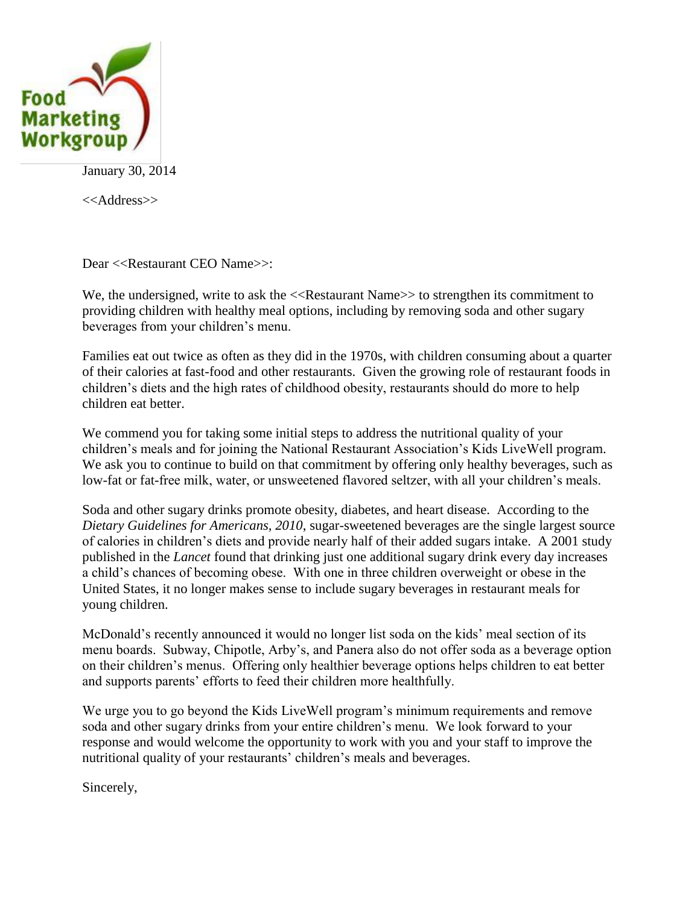

January 30, 2014

<<Address>>

Dear <<Restaurant CEO Name>>:

We, the undersigned, write to ask the  $\langle\langle$ Restaurant Name $\rangle$  to strengthen its commitment to providing children with healthy meal options, including by removing soda and other sugary beverages from your children's menu.

Families eat out twice as often as they did in the 1970s, with children consuming about a quarter of their calories at fast-food and other restaurants. Given the growing role of restaurant foods in children's diets and the high rates of childhood obesity, restaurants should do more to help children eat better.

We commend you for taking some initial steps to address the nutritional quality of your children's meals and for joining the National Restaurant Association's Kids LiveWell program. We ask you to continue to build on that commitment by offering only healthy beverages, such as low-fat or fat-free milk, water, or unsweetened flavored seltzer, with all your children's meals.

Soda and other sugary drinks promote obesity, diabetes, and heart disease. According to the *Dietary Guidelines for Americans, 2010*, sugar-sweetened beverages are the single largest source of calories in children's diets and provide nearly half of their added sugars intake. A 2001 study published in the *Lancet* found that drinking just one additional sugary drink every day increases a child's chances of becoming obese. With one in three children overweight or obese in the United States, it no longer makes sense to include sugary beverages in restaurant meals for young children.

McDonald's recently announced it would no longer list soda on the kids' meal section of its menu boards. Subway, Chipotle, Arby's, and Panera also do not offer soda as a beverage option on their children's menus. Offering only healthier beverage options helps children to eat better and supports parents' efforts to feed their children more healthfully.

We urge you to go beyond the Kids LiveWell program's minimum requirements and remove soda and other sugary drinks from your entire children's menu. We look forward to your response and would welcome the opportunity to work with you and your staff to improve the nutritional quality of your restaurants' children's meals and beverages.

Sincerely,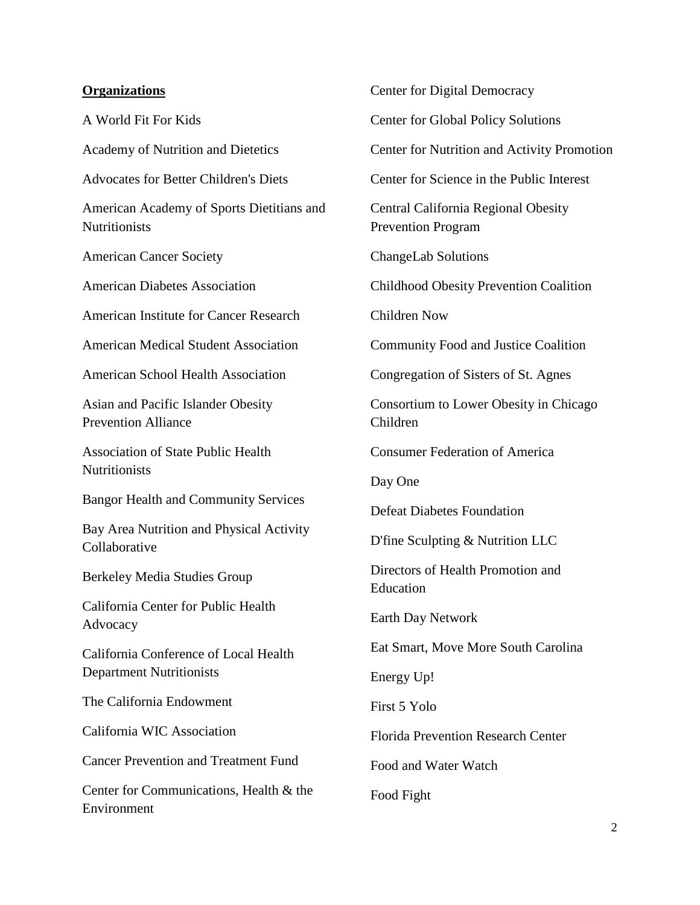## **Organizations**

A World Fit For Kids Academy of Nutrition and Dietetics Advocates for Better Children's Diets American Academy of Sports Dietitians and **Nutritionists** American Cancer Society American Diabetes Association American Institute for Cancer Research American Medical Student Association American School Health Association Asian and Pacific Islander Obesity Prevention Alliance Association of State Public Health **Nutritionists** Bangor Health and Community Services Bay Area Nutrition and Physical Activity Collaborative Berkeley Media Studies Group California Center for Public Health Advocacy California Conference of Local Health Department Nutritionists The California Endowment California WIC Association Cancer Prevention and Treatment Fund Center for Communications, Health & the Environment

Center for Digital Democracy Center for Global Policy Solutions Center for Nutrition and Activity Promotion Center for Science in the Public Interest Central California Regional Obesity Prevention Program ChangeLab Solutions Childhood Obesity Prevention Coalition Children Now Community Food and Justice Coalition Congregation of Sisters of St. Agnes Consortium to Lower Obesity in Chicago Children Consumer Federation of America Day One Defeat Diabetes Foundation D'fine Sculpting & Nutrition LLC Directors of Health Promotion and Education Earth Day Network Eat Smart, Move More South Carolina Energy Up! First 5 Yolo Florida Prevention Research Center Food and Water Watch Food Fight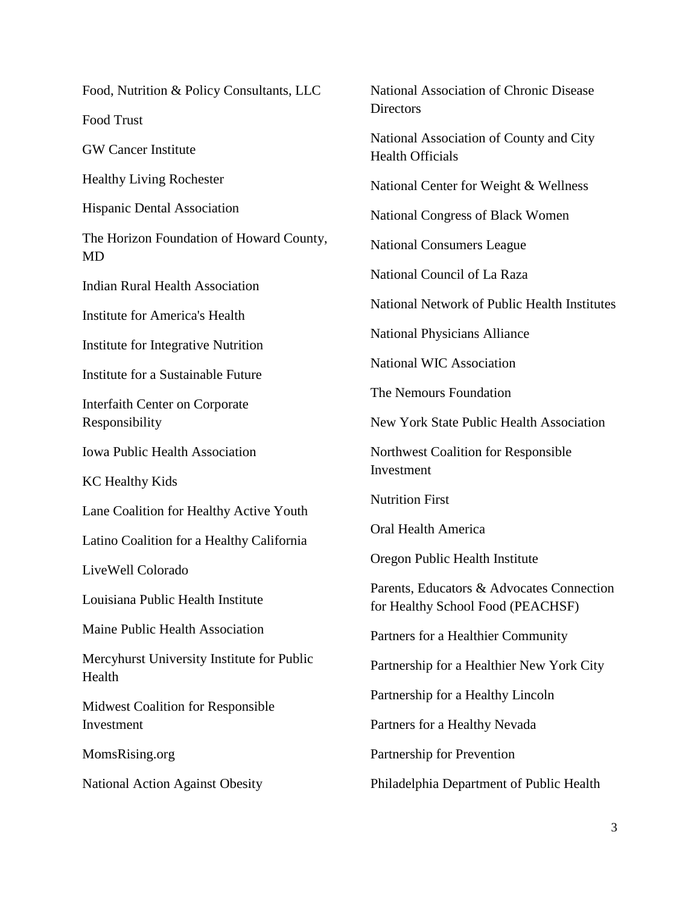Food, Nutrition & Policy Consultants, LLC

Food Trust

GW Cancer Institute

Healthy Living Rochester

Hispanic Dental Association

The Horizon Foundation of Howard County, MD

Indian Rural Health Association

Institute for America's Health

Institute for Integrative Nutrition

Institute for a Sustainable Future

Interfaith Center on Corporate Responsibility

Iowa Public Health Association

KC Healthy Kids

Lane Coalition for Healthy Active Youth

Latino Coalition for a Healthy California

LiveWell Colorado

Louisiana Public Health Institute

Maine Public Health Association

Mercyhurst University Institute for Public Health

Midwest Coalition for Responsible Investment

MomsRising.org

National Action Against Obesity

National Association of Chronic Disease **Directors** National Association of County and City Health Officials National Center for Weight & Wellness National Congress of Black Women National Consumers League National Council of La Raza National Network of Public Health Institutes National Physicians Alliance National WIC Association The Nemours Foundation New York State Public Health Association Northwest Coalition for Responsible Investment Nutrition First Oral Health America Oregon Public Health Institute Parents, Educators & Advocates Connection for Healthy School Food (PEACHSF) Partners for a Healthier Community Partnership for a Healthier New York City Partnership for a Healthy Lincoln Partners for a Healthy Nevada Partnership for Prevention Philadelphia Department of Public Health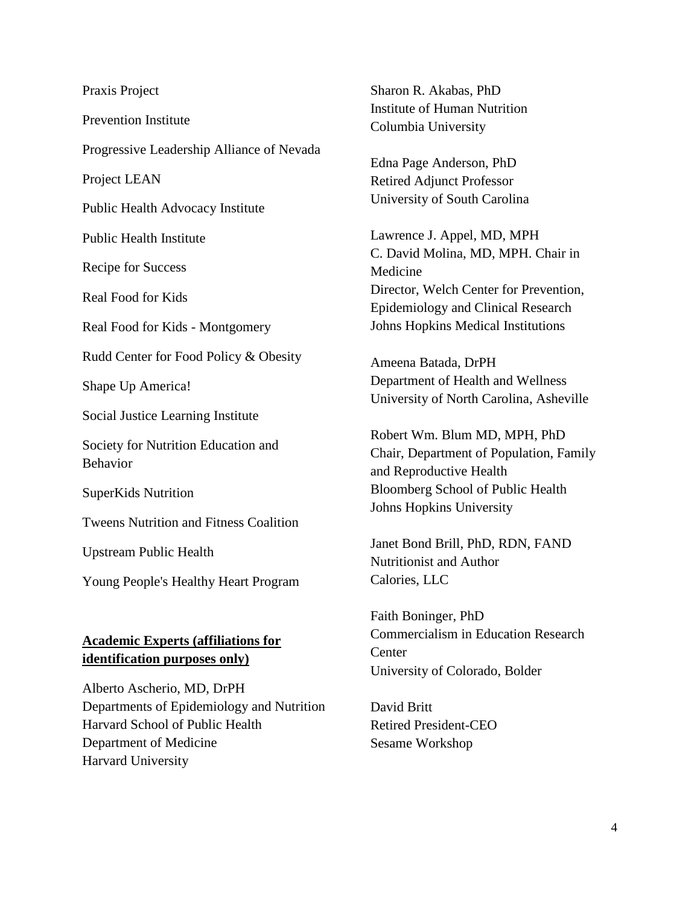Praxis Project Prevention Institute Progressive Leadership Alliance of Nevada Project LEAN Public Health Advocacy Institute Public Health Institute Recipe for Success Real Food for Kids Real Food for Kids - Montgomery Rudd Center for Food Policy & Obesity Shape Up America! Social Justice Learning Institute Society for Nutrition Education and Behavior SuperKids Nutrition Tweens Nutrition and Fitness Coalition Upstream Public Health Young People's Healthy Heart Program **Academic Experts (affiliations for identification purposes only)**

Alberto Ascherio, MD, DrPH Departments of Epidemiology and Nutrition Harvard School of Public Health Department of Medicine Harvard University

Sharon R. Akabas, PhD Institute of Human Nutrition Columbia University

Edna Page Anderson, PhD Retired Adjunct Professor University of South Carolina

Lawrence J. Appel, MD, MPH C. David Molina, MD, MPH. Chair in Medicine Director, Welch Center for Prevention, Epidemiology and Clinical Research Johns Hopkins Medical Institutions

Ameena Batada, DrPH Department of Health and Wellness University of North Carolina, Asheville

Robert Wm. Blum MD, MPH, PhD Chair, Department of Population, Family and Reproductive Health Bloomberg School of Public Health Johns Hopkins University

Janet Bond Brill, PhD, RDN, FAND Nutritionist and Author Calories, LLC

Faith Boninger, PhD Commercialism in Education Research Center University of Colorado, Bolder

David Britt Retired President-CEO Sesame Workshop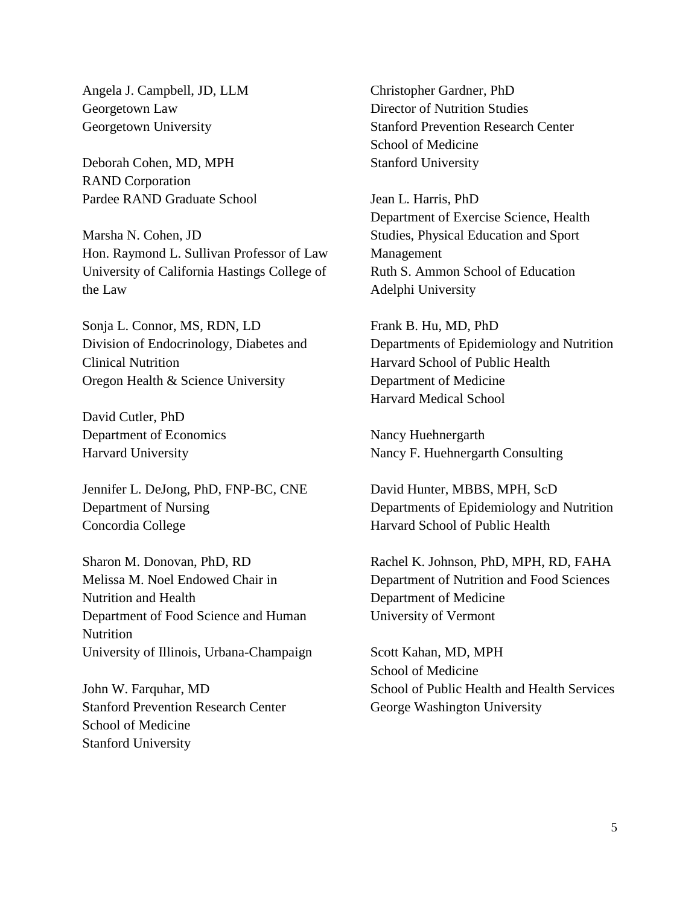Angela J. Campbell, JD, LLM Georgetown Law Georgetown University

Deborah Cohen, MD, MPH RAND Corporation Pardee RAND Graduate School

Marsha N. Cohen, JD Hon. Raymond L. Sullivan Professor of Law University of California Hastings College of the Law

Sonja L. Connor, MS, RDN, LD Division of Endocrinology, Diabetes and Clinical Nutrition Oregon Health & Science University

David Cutler, PhD Department of Economics Harvard University

Jennifer L. DeJong, PhD, FNP-BC, CNE Department of Nursing Concordia College

Sharon M. Donovan, PhD, RD Melissa M. Noel Endowed Chair in Nutrition and Health Department of Food Science and Human **Nutrition** University of Illinois, Urbana-Champaign

John W. Farquhar, MD Stanford Prevention Research Center School of Medicine Stanford University

Christopher Gardner, PhD Director of Nutrition Studies Stanford Prevention Research Center School of Medicine Stanford University

Jean L. Harris, PhD Department of Exercise Science, Health Studies, Physical Education and Sport Management Ruth S. Ammon School of Education Adelphi University

Frank B. Hu, MD, PhD Departments of Epidemiology and Nutrition Harvard School of Public Health Department of Medicine Harvard Medical School

Nancy Huehnergarth Nancy F. Huehnergarth Consulting

David Hunter, MBBS, MPH, ScD Departments of Epidemiology and Nutrition Harvard School of Public Health

Rachel K. Johnson, PhD, MPH, RD, FAHA Department of Nutrition and Food Sciences Department of Medicine University of Vermont

Scott Kahan, MD, MPH School of Medicine School of Public Health and Health Services George Washington University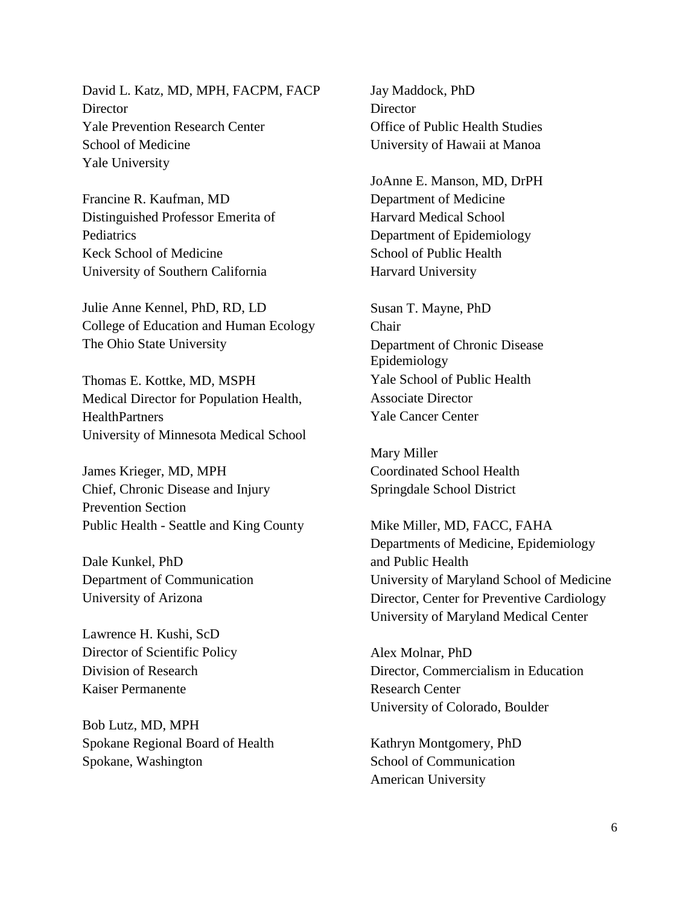David L. Katz, MD, MPH, FACPM, FACP **Director** Yale Prevention Research Center School of Medicine Yale University

Francine R. Kaufman, MD Distinguished Professor Emerita of **Pediatrics** Keck School of Medicine University of Southern California

Julie Anne Kennel, PhD, RD, LD College of Education and Human Ecology The Ohio State University

Thomas E. Kottke, MD, MSPH Medical Director for Population Health, **HealthPartners** University of Minnesota Medical School

James Krieger, MD, MPH Chief, Chronic Disease and Injury Prevention Section Public Health - Seattle and King County

Dale Kunkel, PhD Department of Communication University of Arizona

Lawrence H. Kushi, ScD Director of Scientific Policy Division of Research Kaiser Permanente

Bob Lutz, MD, MPH Spokane Regional Board of Health Spokane, Washington

Jay Maddock, PhD **Director** Office of Public Health Studies University of Hawaii at Manoa

JoAnne E. Manson, MD, DrPH Department of Medicine Harvard Medical School Department of Epidemiology School of Public Health Harvard University

Susan T. Mayne, PhD Chair Department of Chronic Disease Epidemiology Yale School of Public Health Associate Director Yale Cancer Center

Mary Miller Coordinated School Health Springdale School District

Mike Miller, MD, FACC, FAHA Departments of Medicine, Epidemiology and Public Health University of Maryland School of Medicine Director, Center for Preventive Cardiology University of Maryland Medical Center

Alex Molnar, PhD Director, Commercialism in Education Research Center University of Colorado, Boulder

Kathryn Montgomery, PhD School of Communication American University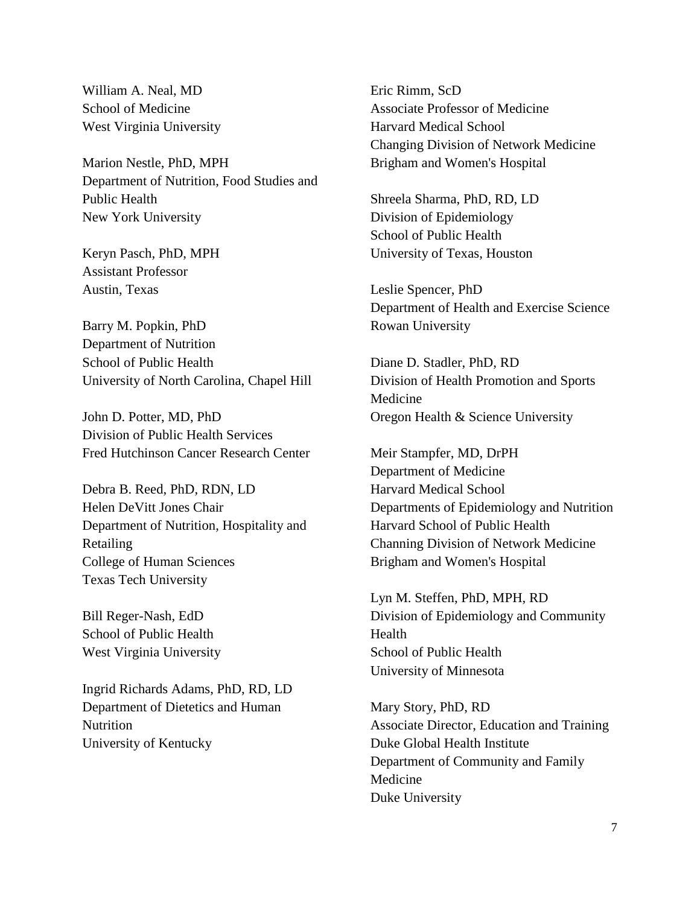William A. Neal, MD School of Medicine West Virginia University

Marion Nestle, PhD, MPH Department of Nutrition, Food Studies and Public Health New York University

Keryn Pasch, PhD, MPH Assistant Professor Austin, Texas

Barry M. Popkin, PhD Department of Nutrition School of Public Health University of North Carolina, Chapel Hill

John D. Potter, MD, PhD Division of Public Health Services Fred Hutchinson Cancer Research Center

Debra B. Reed, PhD, RDN, LD Helen DeVitt Jones Chair Department of Nutrition, Hospitality and Retailing College of Human Sciences Texas Tech University

Bill Reger-Nash, EdD School of Public Health West Virginia University

Ingrid Richards Adams, PhD, RD, LD Department of Dietetics and Human **Nutrition** University of Kentucky

Eric Rimm, ScD Associate Professor of Medicine Harvard Medical School Changing Division of Network Medicine Brigham and Women's Hospital

Shreela Sharma, PhD, RD, LD Division of Epidemiology School of Public Health University of Texas, Houston

Leslie Spencer, PhD Department of Health and Exercise Science Rowan University

Diane D. Stadler, PhD, RD Division of Health Promotion and Sports Medicine Oregon Health & Science University

Meir Stampfer, MD, DrPH Department of Medicine Harvard Medical School Departments of Epidemiology and Nutrition Harvard School of Public Health Channing Division of Network Medicine Brigham and Women's Hospital

Lyn M. Steffen, PhD, MPH, RD Division of Epidemiology and Community Health School of Public Health University of Minnesota

Mary Story, PhD, RD Associate Director, Education and Training Duke Global Health Institute Department of Community and Family Medicine Duke University